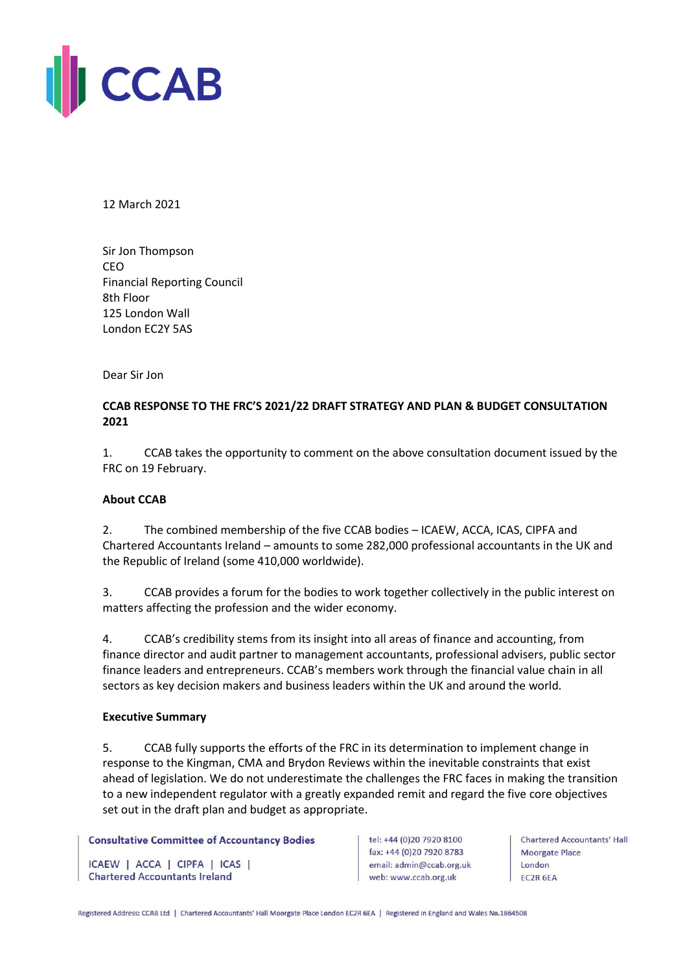

12 March 2021

Sir Jon Thompson CEO Financial Reporting Council 8th Floor 125 London Wall London EC2Y 5AS

## Dear Sir Jon

# **CCAB RESPONSE TO THE FRC'S 2021/22 DRAFT STRATEGY AND PLAN & BUDGET CONSULTATION 2021**

1. CCAB takes the opportunity to comment on the above consultation document issued by the FRC on 19 February.

## **About CCAB**

2. The combined membership of the five CCAB bodies – ICAEW, ACCA, ICAS, CIPFA and Chartered Accountants Ireland – amounts to some 282,000 professional accountants in the UK and the Republic of Ireland (some 410,000 worldwide).

3. CCAB provides a forum for the bodies to work together collectively in the public interest on matters affecting the profession and the wider economy.

4. CCAB's credibility stems from its insight into all areas of finance and accounting, from finance director and audit partner to management accountants, professional advisers, public sector finance leaders and entrepreneurs. CCAB's members work through the financial value chain in all sectors as key decision makers and business leaders within the UK and around the world.

### **Executive Summary**

5. CCAB fully supports the efforts of the FRC in its determination to implement change in response to the Kingman, CMA and Brydon Reviews within the inevitable constraints that exist ahead of legislation. We do not underestimate the challenges the FRC faces in making the transition to a new independent regulator with a greatly expanded remit and regard the five core objectives set out in the draft plan and budget as appropriate.

### **Consultative Committee of Accountancy Bodies**

ICAEW | ACCA | CIPFA | ICAS | **Chartered Accountants Ireland** 

tel: +44 (0)20 7920 8100 fax: +44 (0)20 7920 8783 email: admin@ccab.org.uk web: www.ccab.org.uk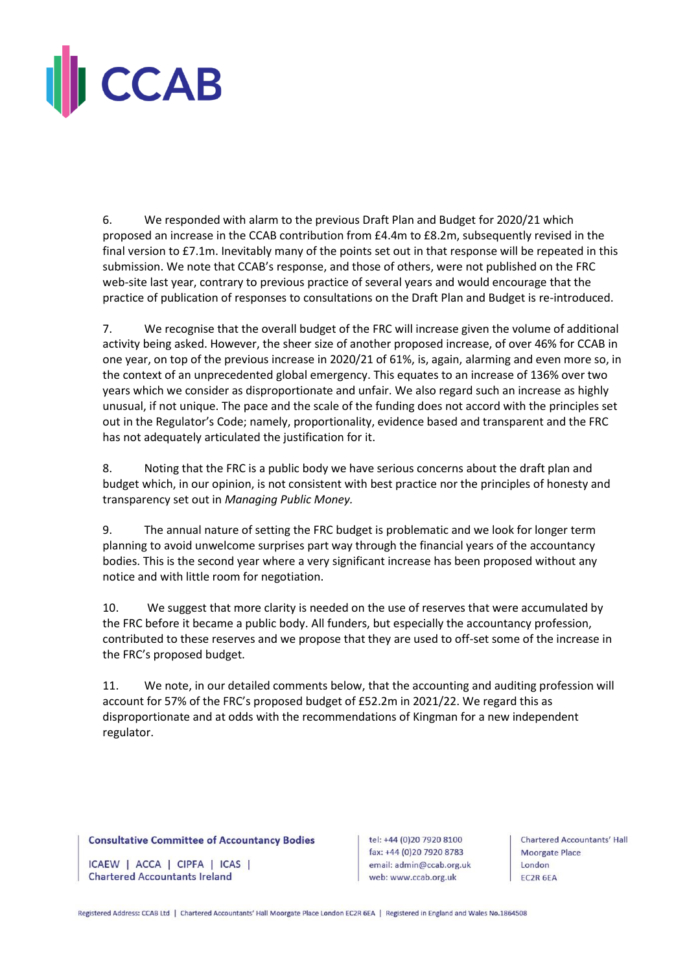

6. We responded with alarm to the previous Draft Plan and Budget for 2020/21 which proposed an increase in the CCAB contribution from £4.4m to £8.2m, subsequently revised in the final version to £7.1m. Inevitably many of the points set out in that response will be repeated in this submission. We note that CCAB's response, and those of others, were not published on the FRC web-site last year, contrary to previous practice of several years and would encourage that the practice of publication of responses to consultations on the Draft Plan and Budget is re-introduced.

7. We recognise that the overall budget of the FRC will increase given the volume of additional activity being asked. However, the sheer size of another proposed increase, of over 46% for CCAB in one year, on top of the previous increase in 2020/21 of 61%, is, again, alarming and even more so, in the context of an unprecedented global emergency. This equates to an increase of 136% over two years which we consider as disproportionate and unfair. We also regard such an increase as highly unusual, if not unique. The pace and the scale of the funding does not accord with the principles set out in the Regulator's Code; namely, proportionality, evidence based and transparent and the FRC has not adequately articulated the justification for it.

8. Noting that the FRC is a public body we have serious concerns about the draft plan and budget which, in our opinion, is not consistent with best practice nor the principles of honesty and transparency set out in *Managing Public Money.* 

9. The annual nature of setting the FRC budget is problematic and we look for longer term planning to avoid unwelcome surprises part way through the financial years of the accountancy bodies. This is the second year where a very significant increase has been proposed without any notice and with little room for negotiation.

10. We suggest that more clarity is needed on the use of reserves that were accumulated by the FRC before it became a public body. All funders, but especially the accountancy profession, contributed to these reserves and we propose that they are used to off-set some of the increase in the FRC's proposed budget.

11. We note, in our detailed comments below, that the accounting and auditing profession will account for 57% of the FRC's proposed budget of £52.2m in 2021/22. We regard this as disproportionate and at odds with the recommendations of Kingman for a new independent regulator.

#### **Consultative Committee of Accountancy Bodies**

ICAEW | ACCA | CIPFA | ICAS | **Chartered Accountants Ireland** 

tel: +44 (0)20 7920 8100 fax: +44 (0)20 7920 8783 email: admin@ccab.org.uk web: www.ccab.org.uk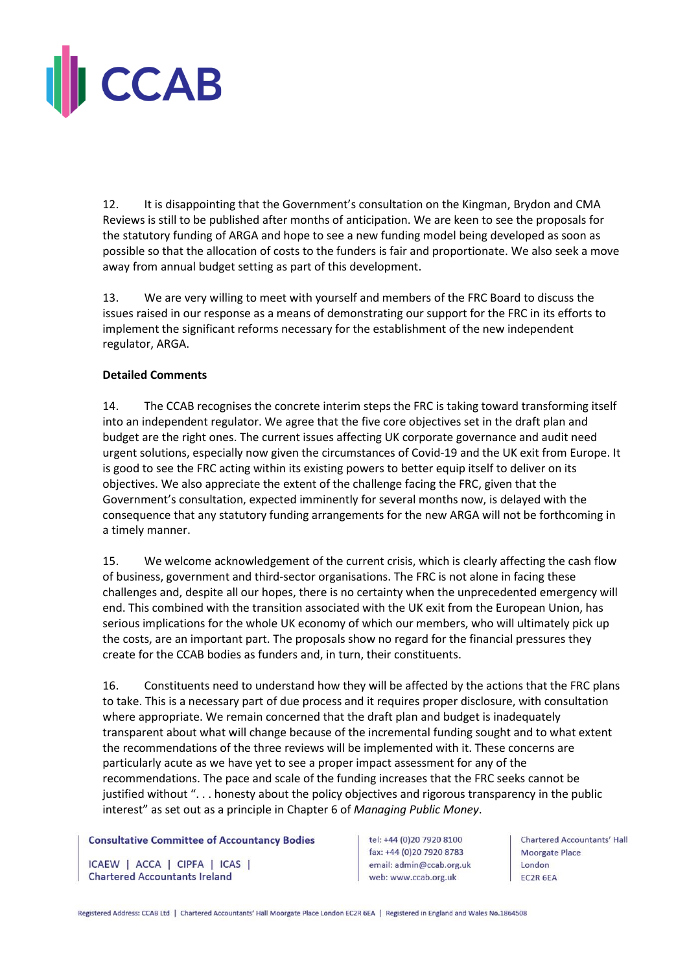

12. It is disappointing that the Government's consultation on the Kingman, Brydon and CMA Reviews is still to be published after months of anticipation. We are keen to see the proposals for the statutory funding of ARGA and hope to see a new funding model being developed as soon as possible so that the allocation of costs to the funders is fair and proportionate. We also seek a move away from annual budget setting as part of this development.

13. We are very willing to meet with yourself and members of the FRC Board to discuss the issues raised in our response as a means of demonstrating our support for the FRC in its efforts to implement the significant reforms necessary for the establishment of the new independent regulator, ARGA.

## **Detailed Comments**

14. The CCAB recognises the concrete interim steps the FRC is taking toward transforming itself into an independent regulator. We agree that the five core objectives set in the draft plan and budget are the right ones. The current issues affecting UK corporate governance and audit need urgent solutions, especially now given the circumstances of Covid-19 and the UK exit from Europe. It is good to see the FRC acting within its existing powers to better equip itself to deliver on its objectives. We also appreciate the extent of the challenge facing the FRC, given that the Government's consultation, expected imminently for several months now, is delayed with the consequence that any statutory funding arrangements for the new ARGA will not be forthcoming in a timely manner.

15. We welcome acknowledgement of the current crisis, which is clearly affecting the cash flow of business, government and third-sector organisations. The FRC is not alone in facing these challenges and, despite all our hopes, there is no certainty when the unprecedented emergency will end. This combined with the transition associated with the UK exit from the European Union, has serious implications for the whole UK economy of which our members, who will ultimately pick up the costs, are an important part. The proposals show no regard for the financial pressures they create for the CCAB bodies as funders and, in turn, their constituents.

16. Constituents need to understand how they will be affected by the actions that the FRC plans to take. This is a necessary part of due process and it requires proper disclosure, with consultation where appropriate. We remain concerned that the draft plan and budget is inadequately transparent about what will change because of the incremental funding sought and to what extent the recommendations of the three reviews will be implemented with it. These concerns are particularly acute as we have yet to see a proper impact assessment for any of the recommendations. The pace and scale of the funding increases that the FRC seeks cannot be justified without ". . . honesty about the policy objectives and rigorous transparency in the public interest" as set out as a principle in Chapter 6 of *Managing Public Money*.

#### **Consultative Committee of Accountancy Bodies**

ICAEW | ACCA | CIPFA | ICAS | **Chartered Accountants Ireland** 

tel: +44 (0)20 7920 8100 fax: +44 (0)20 7920 8783 email: admin@ccab.org.uk web: www.ccab.org.uk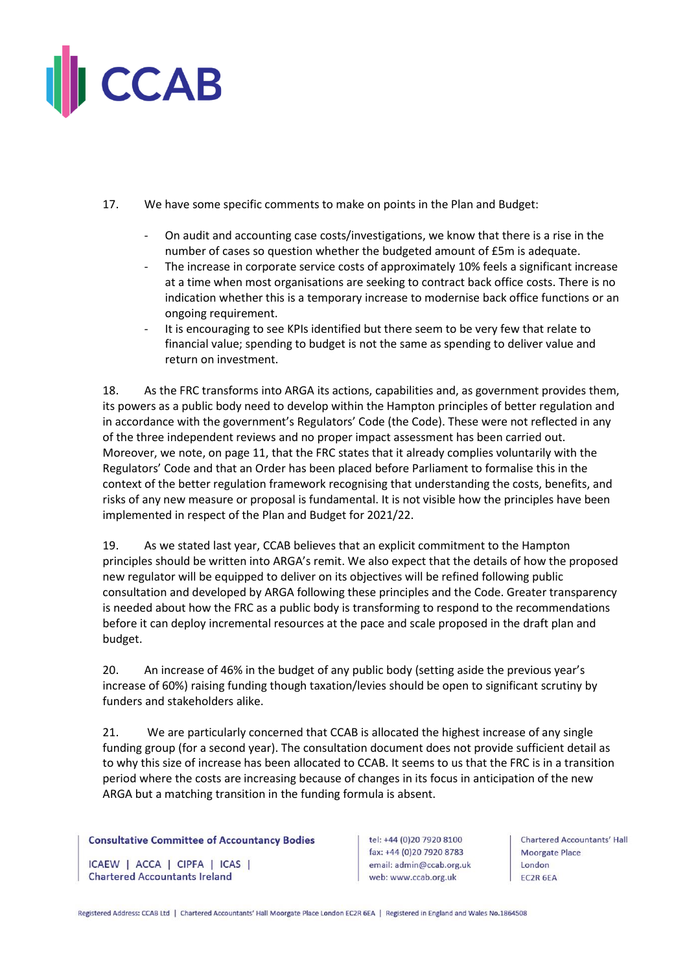

- 17. We have some specific comments to make on points in the Plan and Budget:
	- On audit and accounting case costs/investigations, we know that there is a rise in the number of cases so question whether the budgeted amount of £5m is adequate.
	- The increase in corporate service costs of approximately 10% feels a significant increase at a time when most organisations are seeking to contract back office costs. There is no indication whether this is a temporary increase to modernise back office functions or an ongoing requirement.
	- It is encouraging to see KPIs identified but there seem to be very few that relate to financial value; spending to budget is not the same as spending to deliver value and return on investment.

18. As the FRC transforms into ARGA its actions, capabilities and, as government provides them, its powers as a public body need to develop within the Hampton principles of better regulation and in accordance with the government's Regulators' Code (the Code). These were not reflected in any of the three independent reviews and no proper impact assessment has been carried out. Moreover, we note, on page 11, that the FRC states that it already complies voluntarily with the Regulators' Code and that an Order has been placed before Parliament to formalise this in the context of the better regulation framework recognising that understanding the costs, benefits, and risks of any new measure or proposal is fundamental. It is not visible how the principles have been implemented in respect of the Plan and Budget for 2021/22.

19. As we stated last year, CCAB believes that an explicit commitment to the Hampton principles should be written into ARGA's remit. We also expect that the details of how the proposed new regulator will be equipped to deliver on its objectives will be refined following public consultation and developed by ARGA following these principles and the Code. Greater transparency is needed about how the FRC as a public body is transforming to respond to the recommendations before it can deploy incremental resources at the pace and scale proposed in the draft plan and budget.

20. An increase of 46% in the budget of any public body (setting aside the previous year's increase of 60%) raising funding though taxation/levies should be open to significant scrutiny by funders and stakeholders alike.

21. We are particularly concerned that CCAB is allocated the highest increase of any single funding group (for a second year). The consultation document does not provide sufficient detail as to why this size of increase has been allocated to CCAB. It seems to us that the FRC is in a transition period where the costs are increasing because of changes in its focus in anticipation of the new ARGA but a matching transition in the funding formula is absent.

### **Consultative Committee of Accountancy Bodies**

ICAEW | ACCA | CIPFA | ICAS | **Chartered Accountants Ireland** 

tel: +44 (0)20 7920 8100 fax: +44 (0)20 7920 8783 email: admin@ccab.org.uk web: www.ccab.org.uk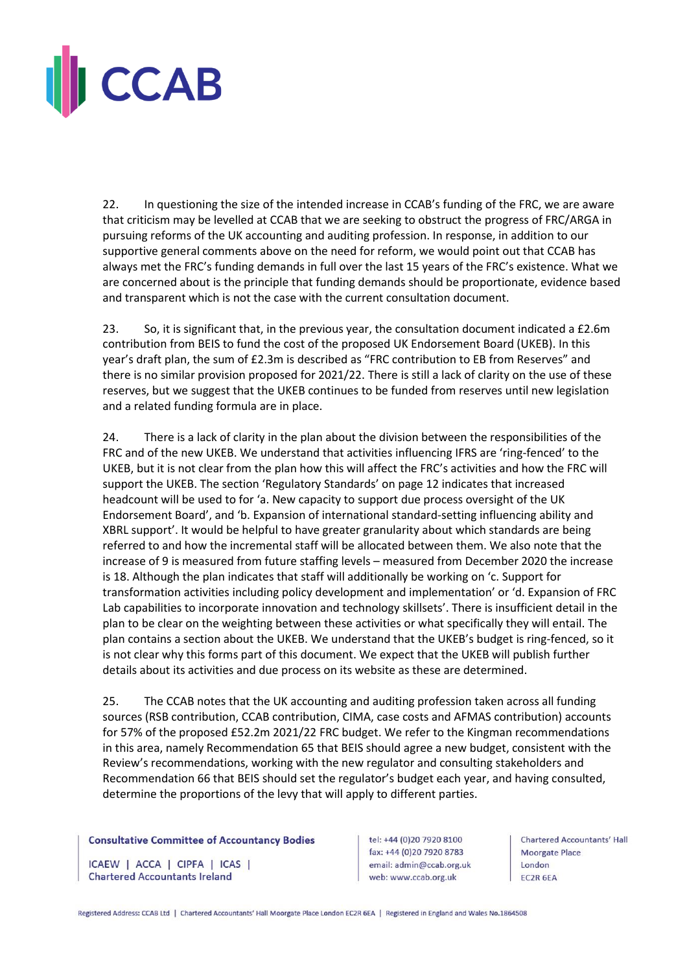

22. In questioning the size of the intended increase in CCAB's funding of the FRC, we are aware that criticism may be levelled at CCAB that we are seeking to obstruct the progress of FRC/ARGA in pursuing reforms of the UK accounting and auditing profession. In response, in addition to our supportive general comments above on the need for reform, we would point out that CCAB has always met the FRC's funding demands in full over the last 15 years of the FRC's existence. What we are concerned about is the principle that funding demands should be proportionate, evidence based and transparent which is not the case with the current consultation document.

23. So, it is significant that, in the previous year, the consultation document indicated a £2.6m contribution from BEIS to fund the cost of the proposed UK Endorsement Board (UKEB). In this year's draft plan, the sum of £2.3m is described as "FRC contribution to EB from Reserves" and there is no similar provision proposed for 2021/22. There is still a lack of clarity on the use of these reserves, but we suggest that the UKEB continues to be funded from reserves until new legislation and a related funding formula are in place.

24. There is a lack of clarity in the plan about the division between the responsibilities of the FRC and of the new UKEB. We understand that activities influencing IFRS are 'ring-fenced' to the UKEB, but it is not clear from the plan how this will affect the FRC's activities and how the FRC will support the UKEB. The section 'Regulatory Standards' on page 12 indicates that increased headcount will be used to for 'a. New capacity to support due process oversight of the UK Endorsement Board', and 'b. Expansion of international standard-setting influencing ability and XBRL support'. It would be helpful to have greater granularity about which standards are being referred to and how the incremental staff will be allocated between them. We also note that the increase of 9 is measured from future staffing levels – measured from December 2020 the increase is 18. Although the plan indicates that staff will additionally be working on 'c. Support for transformation activities including policy development and implementation' or 'd. Expansion of FRC Lab capabilities to incorporate innovation and technology skillsets'. There is insufficient detail in the plan to be clear on the weighting between these activities or what specifically they will entail. The plan contains a section about the UKEB. We understand that the UKEB's budget is ring-fenced, so it is not clear why this forms part of this document. We expect that the UKEB will publish further details about its activities and due process on its website as these are determined.

25. The CCAB notes that the UK accounting and auditing profession taken across all funding sources (RSB contribution, CCAB contribution, CIMA, case costs and AFMAS contribution) accounts for 57% of the proposed £52.2m 2021/22 FRC budget. We refer to the Kingman recommendations in this area, namely Recommendation 65 that BEIS should agree a new budget, consistent with the Review's recommendations, working with the new regulator and consulting stakeholders and Recommendation 66 that BEIS should set the regulator's budget each year, and having consulted, determine the proportions of the levy that will apply to different parties.

#### **Consultative Committee of Accountancy Bodies**

ICAEW | ACCA | CIPFA | ICAS | **Chartered Accountants Ireland** 

tel: +44 (0)20 7920 8100 fax: +44 (0)20 7920 8783 email: admin@ccab.org.uk web: www.ccab.org.uk